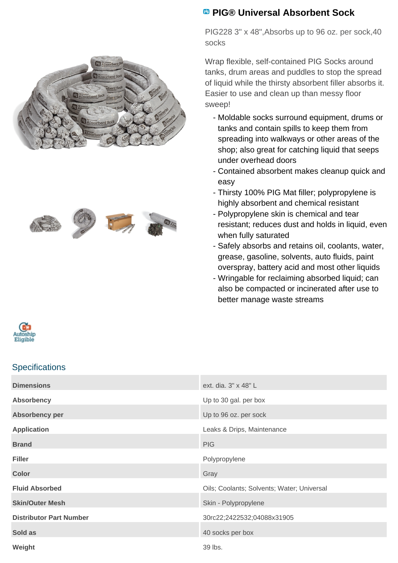



## **PIG® Universal Absorbent Sock**

PIG228 3" x 48",Absorbs up to 96 oz. per sock,40 socks

Wrap flexible, self-contained PIG Socks around tanks, drum areas and puddles to stop the spread of liquid while the thirsty absorbent filler absorbs it. Easier to use and clean up than messy floor sweep!

- Moldable socks surround equipment, drums or tanks and contain spills to keep them from spreading into walkways or other areas of the shop; also great for catching liquid that seeps under overhead doors
- Contained absorbent makes cleanup quick and easy
- Thirsty 100% PIG Mat filler; polypropylene is highly absorbent and chemical resistant
- Polypropylene skin is chemical and tear resistant; reduces dust and holds in liquid, even when fully saturated
- Safely absorbs and retains oil, coolants, water, grease, gasoline, solvents, auto fluids, paint overspray, battery acid and most other liquids
- Wringable for reclaiming absorbed liquid; can also be compacted or incinerated after use to better manage waste streams



## **Specifications**

| <b>Dimensions</b>              | ext. dia. 3" x 48" L                       |
|--------------------------------|--------------------------------------------|
| <b>Absorbency</b>              | Up to 30 gal. per box                      |
| Absorbency per                 | Up to 96 oz. per sock                      |
| <b>Application</b>             | Leaks & Drips, Maintenance                 |
| <b>Brand</b>                   | <b>PIG</b>                                 |
| <b>Filler</b>                  | Polypropylene                              |
| <b>Color</b>                   | Gray                                       |
| <b>Fluid Absorbed</b>          | Oils; Coolants; Solvents; Water; Universal |
| <b>Skin/Outer Mesh</b>         | Skin - Polypropylene                       |
| <b>Distributor Part Number</b> | 30rc22;2422532;04088x31905                 |
| Sold as                        | 40 socks per box                           |
| Weight                         | 39 lbs.                                    |